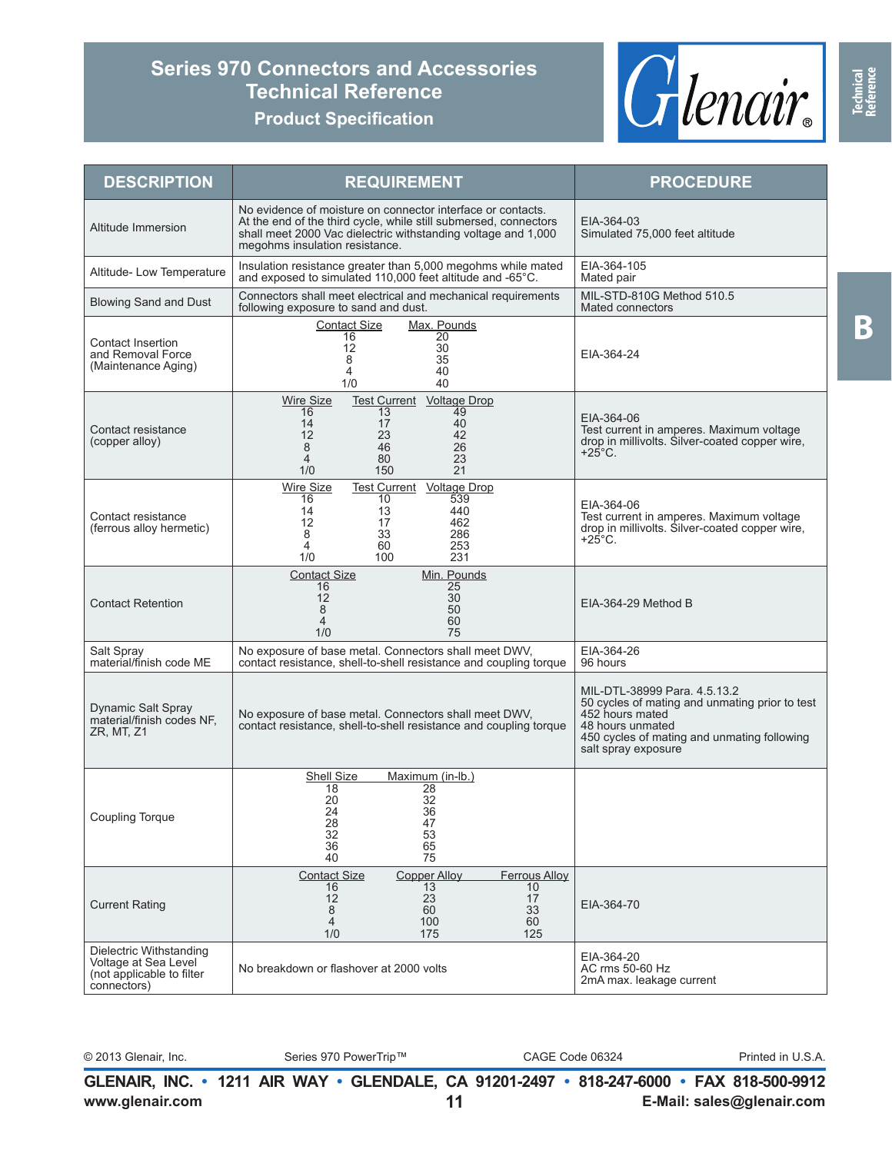## **Series 970 Connectors and Accessories Technical Reference**





| <b>DESCRIPTION</b>                                                                          | <b>REQUIREMENT</b>                                                                                                                                                                                                                 | <b>PROCEDURE</b>                                                                                                                                                                            |
|---------------------------------------------------------------------------------------------|------------------------------------------------------------------------------------------------------------------------------------------------------------------------------------------------------------------------------------|---------------------------------------------------------------------------------------------------------------------------------------------------------------------------------------------|
| Altitude Immersion                                                                          | No evidence of moisture on connector interface or contacts.<br>At the end of the third cycle, while still submersed, connectors<br>shall meet 2000 Vac dielectric withstanding voltage and 1,000<br>megohms insulation resistance. | EIA-364-03<br>Simulated 75,000 feet altitude                                                                                                                                                |
| Altitude- Low Temperature                                                                   | Insulation resistance greater than 5,000 megohms while mated<br>and exposed to simulated 110,000 feet altitude and -65°C.                                                                                                          | EIA-364-105<br>Mated pair                                                                                                                                                                   |
| <b>Blowing Sand and Dust</b>                                                                | Connectors shall meet electrical and mechanical requirements<br>following exposure to sand and dust.                                                                                                                               | MIL-STD-810G Method 510.5<br>Mated connectors                                                                                                                                               |
| Contact Insertion<br>and Removal Force<br>(Maintenance Aging)                               | Max. Pounds<br><b>Contact Size</b><br>$\overline{20}$<br>16<br>12<br>30<br>8<br>35<br>40<br>4<br>40<br>1/0                                                                                                                         | EIA-364-24                                                                                                                                                                                  |
| Contact resistance<br>(copper alloy)                                                        | <b>Wire Size</b><br>Test Current Voltage Drop<br>16<br>13<br>49<br>17<br>40<br>14<br>12<br>23<br>42<br>8<br>46<br>26<br>80<br>23<br>4<br>1/0<br>150<br>21                                                                          | EIA-364-06<br>Test current in amperes. Maximum voltage<br>drop in millivolts. Silver-coated copper wire,<br>$+25^{\circ}$ C.                                                                |
| Contact resistance<br>(ferrous alloy hermetic)                                              | Test Current Voltage Drop<br><b>Wire Size</b><br>10<br>539<br>16<br>440<br>13<br>14<br>12<br>17<br>462<br>8<br>33<br>286<br>60<br>253<br>4<br>1/0<br>100<br>231                                                                    | EIA-364-06<br>Test current in amperes. Maximum voltage<br>drop in millivolts. Silver-coated copper wire,<br>$+25^{\circ}$ C.                                                                |
| <b>Contact Retention</b>                                                                    | Min. Pounds<br><b>Contact Size</b><br>16<br>25<br>12<br>30<br>8<br>50<br>60<br>$\overline{4}$<br>1/0<br>75                                                                                                                         | EIA-364-29 Method B                                                                                                                                                                         |
| Salt Spray<br>material/finish code ME                                                       | No exposure of base metal. Connectors shall meet DWV,<br>contact resistance, shell-to-shell resistance and coupling torque                                                                                                         | EIA-364-26<br>96 hours                                                                                                                                                                      |
| <b>Dynamic Salt Spray</b><br>material/finish codes NF.<br>ZR, MT, Z1                        | No exposure of base metal. Connectors shall meet DWV,<br>contact resistance, shell-to-shell resistance and coupling torque                                                                                                         | MIL-DTL-38999 Para, 4.5.13.2<br>50 cycles of mating and unmating prior to test<br>452 hours mated<br>48 hours unmated<br>450 cycles of mating and unmating following<br>salt spray exposure |
| <b>Coupling Torque</b>                                                                      | Shell Size<br>Maximum (in-lb.)<br>18<br>28<br>32<br>20<br>24<br>36<br>28<br>47<br>32<br>53<br>36<br>65<br>40<br>75                                                                                                                 |                                                                                                                                                                                             |
| <b>Current Rating</b>                                                                       | <b>Copper Alloy</b><br><b>Contact Size</b><br><b>Ferrous Alloy</b><br>16<br>13<br>10<br>12<br>23<br>17<br>8<br>60<br>33<br>60<br>$\overline{4}$<br>100<br>125<br>1/0<br>175                                                        | EIA-364-70                                                                                                                                                                                  |
| Dielectric Withstanding<br>Voltage at Sea Level<br>(not applicable to filter<br>connectors) | No breakdown or flashover at 2000 volts                                                                                                                                                                                            | EIA-364-20<br>AC rms 50-60 Hz<br>2mA max. leakage current                                                                                                                                   |

|  |  | ರಿ 2013 Glenair In |  |
|--|--|--------------------|--|

© 2013 Glenair, Inc. Series 970 PowerTrip™ CAGE Code 06324 Printed in U.S.A.

**www.glenair.com E-Mail: sales@glenair.com GLENAIR, INC. • 1211 AIR WAY • GLENDALE, CA 91201-2497 • 818-247-6000 • FAX 818-500-9912 11**

**Technical Reference**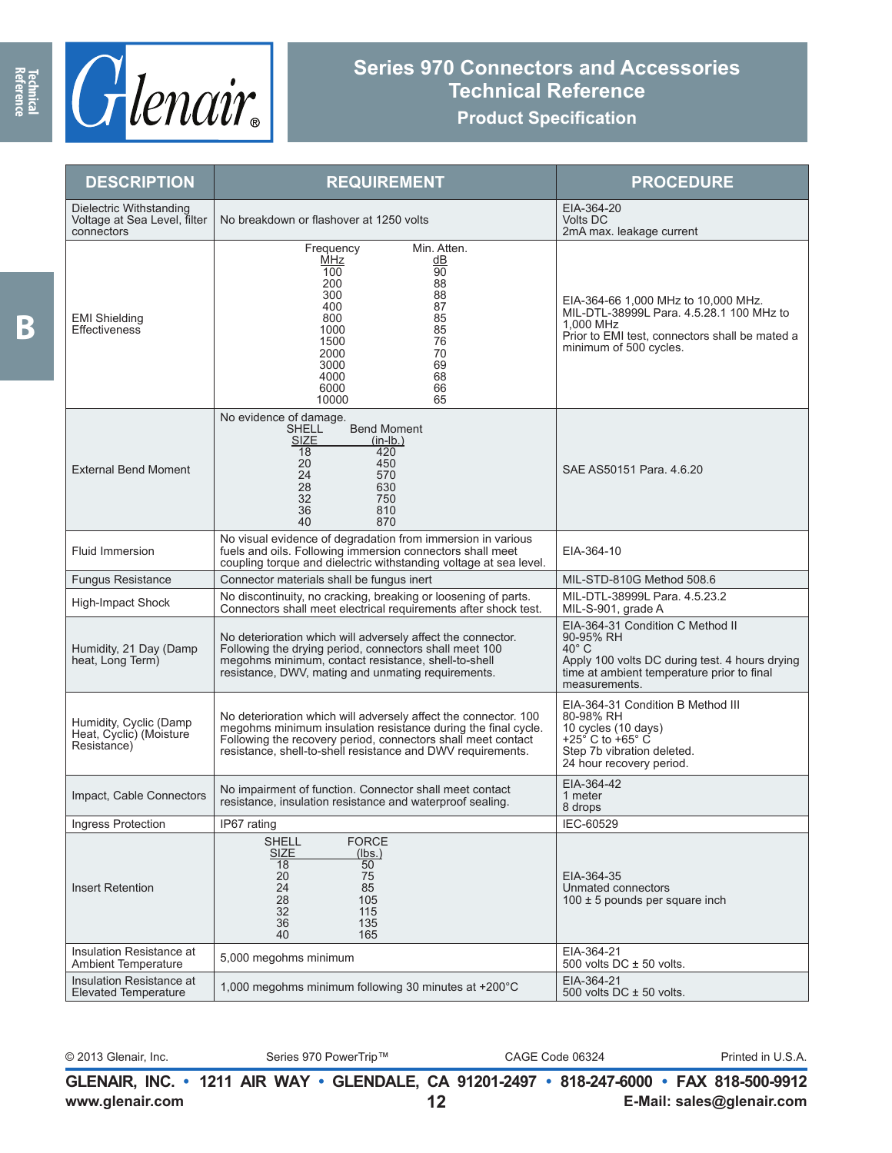

## **Series 970 Connectors and Accessories Technical Reference**

## **Product Specification**

| <b>DESCRIPTION</b>                                                    | <b>REQUIREMENT</b>                                                                                                                                                                                                                                              | <b>PROCEDURE</b>                                                                                                                                                                 |
|-----------------------------------------------------------------------|-----------------------------------------------------------------------------------------------------------------------------------------------------------------------------------------------------------------------------------------------------------------|----------------------------------------------------------------------------------------------------------------------------------------------------------------------------------|
| Dielectric Withstanding<br>Voltage at Sea Level, filter<br>connectors | No breakdown or flashover at 1250 volts                                                                                                                                                                                                                         | EIA-364-20<br><b>Volts DC</b><br>2mA max. leakage current                                                                                                                        |
| <b>EMI Shielding</b><br>Effectiveness                                 | Min. Atten.<br>Frequency<br>MHz<br>dВ<br>$\overline{90}$<br>100<br>88<br>200<br>88<br>300<br>87<br>400<br>85<br>800<br>85<br>1000<br>76<br>1500<br>70<br>2000<br>69<br>3000<br>68<br>4000<br>66<br>6000<br>10000<br>65                                          | EIA-364-66 1,000 MHz to 10,000 MHz.<br>MIL-DTL-38999L Para. 4.5.28.1 100 MHz to<br>1.000 MHz<br>Prior to EMI test, connectors shall be mated a<br>minimum of 500 cycles.         |
| <b>External Bend Moment</b>                                           | No evidence of damage.<br><b>Bend Moment</b><br><b>SHELL</b><br><b>SIZE</b><br>$(in-lb.)$<br>18<br>420<br>20<br>450<br>24<br>570<br>28<br>630<br>32<br>750<br>36<br>810<br>40<br>870                                                                            | SAE AS50151 Para, 4.6.20                                                                                                                                                         |
| Fluid Immersion                                                       | No visual evidence of degradation from immersion in various<br>fuels and oils. Following immersion connectors shall meet<br>coupling torque and dielectric withstanding voltage at sea level.                                                                   | EIA-364-10                                                                                                                                                                       |
| <b>Fungus Resistance</b>                                              | Connector materials shall be fungus inert                                                                                                                                                                                                                       | MIL-STD-810G Method 508.6                                                                                                                                                        |
| High-Impact Shock                                                     | No discontinuity, no cracking, breaking or loosening of parts.<br>Connectors shall meet electrical requirements after shock test.                                                                                                                               | MIL-DTL-38999L Para. 4.5.23.2<br>MIL-S-901, grade A                                                                                                                              |
| Humidity, 21 Day (Damp<br>heat, Long Term)                            | No deterioration which will adversely affect the connector.<br>Following the drying period, connectors shall meet 100<br>megohms minimum, contact resistance, shell-to-shell<br>resistance, DWV, mating and unmating requirements.                              | EIA-364-31 Condition C Method II<br>90-95% RH<br>$40^{\circ}$ C<br>Apply 100 volts DC during test. 4 hours drying<br>time at ambient temperature prior to final<br>measurements. |
| Humidity, Cyclic (Damp<br>Heat, Cyclic) (Moisture<br>Resistance)      | No deterioration which will adversely affect the connector. 100<br>megohms minimum insulation resistance during the final cycle.<br>Following the recovery period, connectors shall meet contact<br>resistance, shell-to-shell resistance and DWV requirements. | EIA-364-31 Condition B Method III<br>80-98% RH<br>10 cycles (10 days)<br>+25 $\degree$ C to +65 $\degree$ C<br>Step 7b vibration deleted.<br>24 hour recovery period.            |
| Impact, Cable Connectors                                              | No impairment of function. Connector shall meet contact<br>resistance, insulation resistance and waterproof sealing.                                                                                                                                            | EIA-364-42<br>1 meter<br>8 drops                                                                                                                                                 |
| Ingress Protection                                                    | IP67 rating                                                                                                                                                                                                                                                     | IEC-60529                                                                                                                                                                        |
| <b>Insert Retention</b>                                               | <b>SHELL</b><br><b>FORCE</b><br><b>SIZE</b><br>(lbs.)<br>$\overline{50}$<br>18<br>20<br>75<br>24<br>85<br>28<br>105<br>32<br>115<br>36<br>135<br>165<br>40                                                                                                      | EIA-364-35<br>Unmated connectors<br>$100 \pm 5$ pounds per square inch                                                                                                           |
| Insulation Resistance at<br>Ambient Temperature                       | 5,000 megohms minimum                                                                                                                                                                                                                                           | EIA-364-21<br>500 volts $DC \pm 50$ volts.                                                                                                                                       |
| Insulation Resistance at<br><b>Elevated Temperature</b>               | 1,000 megohms minimum following 30 minutes at +200°C                                                                                                                                                                                                            | EIA-364-21<br>500 volts $DC \pm 50$ volts.                                                                                                                                       |

© 2013 Glenair, Inc. Series 970 PowerTrip™ CAGE Code 06324 Printed in U.S.A.

**www.glenair.com E-Mail: sales@glenair.com GLENAIR, INC. • 1211 AIR WAY • GLENDALE, CA 91201-2497 • 818-247-6000 • FAX 818-500-9912 12**